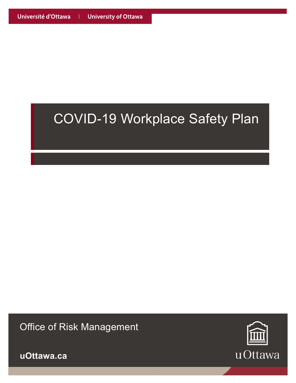# COVID-19 Workplace Safety Plan

Office of Risk Management



uOttawa **uOttawa.ca**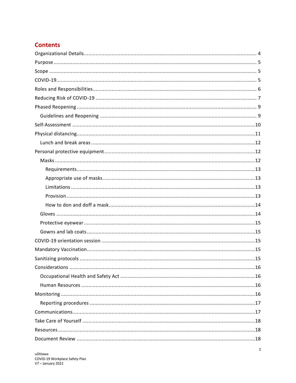# **Contents**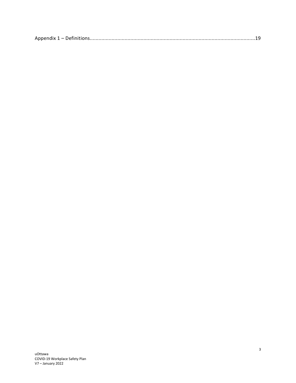|--|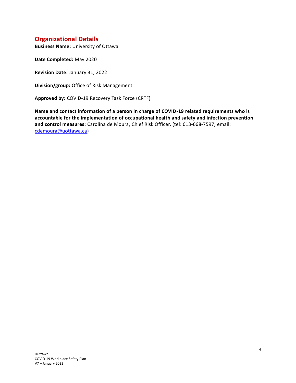# <span id="page-3-0"></span>**Organizational Details**

**Business Name:** University of Ottawa

**Date Completed:** May 2020

**Revision Date:** January 31, 2022

**Division/group:** Office of Risk Management

**Approved by:** COVID-19 Recovery Task Force (CRTF)

**Name and contact information of a person in charge of COVID-19 related requirements who is accountable for the implementation of occupational health and safety and infection prevention and control measures:** Carolina de Moura, Chief Risk Officer, (tel: 613-668-7597; email: [cdemoura@uottawa.ca\)](mailto:cdemoura@uottawa.ca)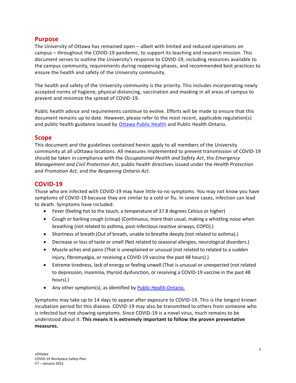## <span id="page-4-0"></span>**Purpose**

The University of Ottawa has remained open – albeit with limited and reduced operations on campus – throughout the COVID-19 pandemic, to support its teaching and research mission. This document serves to outline the University's response to COVID-19, including resources available to the campus community, requirements during reopening phases, and recommended best practices to ensure the health and safety of the University community.

The health and safety of the University community is the priority. This includes incorporating newly accepted norms of hygiene, physical distancing, vaccination and masking in all areas of campus to prevent and minimize the spread of COVID-19.

Public health advice and requirements continue to evolve. Efforts will be made to ensure that this document remains up to date. However, please refer to the most recent, applicable regulation(s) and public health guidance issued by [Ottawa Public Health](https://www.ottawapublichealth.ca/en/public-health-topics/novel-coronavirus.aspx) and Public Health Ontario.

## <span id="page-4-1"></span>**Scope**

This document and the guidelines contained herein apply to all members of the University community at all uOttawa locations. All measures implemented to prevent transmission of COVID-19 should be taken in compliance with the *Occupational Health and Safety Act*, the *Emergency Management and Civil Protection Act*, public health directives issued under the *Health Protection and Promotion Act,* and the *Reopening Ontario Act*.

# <span id="page-4-2"></span>**COVID-19**

Those who are infected with COVID-19 may have little-to-no symptoms. You may not know you have symptoms of COVID-19 because they are similar to a cold or flu. In severe cases, infection can lead to death. Symptoms have included:

- Fever (feeling hot to the touch, a temperature of 37.8 degrees Celsius or higher)
- Cough or barking cough (croup) (Continuous, more than usual, making a whistling noise when breathing (not related to asthma, post-infectious reactive airways, COPD).)
- Shortness of breath (Out of breath, unable to breathe deeply (not related to asthma).)
- Decrease or loss of taste or smell (Not related to seasonal allergies, neurological disorders.)
- Muscle aches and pains (That is unexplained or unusual (not related to related to a sudden injury, fibromyalgia, or receiving a COVID-19 vaccine the past 48 hours).)
- Extreme tiredness, lack of energy or feeling unwell (That is unusual or unexpected (not related to depression, insomnia, thyroid dysfunction, or receiving a COVID-19 vaccine in the past 48 hours).)
- Any other symptom(s), as identified b[y Public Health Ontario.](https://www.ontario.ca/page/covid-19-stop-spread?gclid=Cj0KCQiAzsz-BRCCARIsANotFgPgeT3ohbHBkqSgekpxGPXK1OYqhRfu_jf2rk4hbcMVRrdXDF9pzGIaAn-yEALw_wcB#section-38)

Symptoms may take up to 14 days to appear after exposure to COVID-19. This is the longest known incubation period for this disease. COVID-19 may also be transmitted to others from someone who is infected but not showing symptoms. Since COVID-19 is a novel virus, much remains to be understood about it. **This means it is extremely important to follow the proven preventative measures.**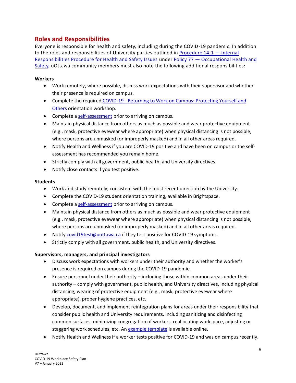# <span id="page-5-0"></span>**Roles and Responsibilities**

Everyone is responsible for health and safety, including during the COVID-19 pandemic. In addition to the roles and responsibilities of University parties outlined in **Procedure 14-1**  $-$  Internal [Responsibilities Procedure for Health and Safety Issues](https://www.uottawa.ca/administration-and-governance/procedure-14-1-internal-responsibility-procedure-health-and-safety-issues) under Policy 77 — [Occupational Health and](https://www.uottawa.ca/administration-and-governance/policy-77-occupational-health-and-safety)  [Safety,](https://www.uottawa.ca/administration-and-governance/policy-77-occupational-health-and-safety) uOttawa community members must also note the following additional responsibilities:

#### **Workers**

- Work remotely, where possible, discuss work expectations with their supervisor and whether their presence is required on campus.
- Complete the required COVID-19 Returning to Work on Campus: Protecting Yourself and [Others](https://web47.uottawa.ca/en/lrs/node/36073) orientation workshop.
- Complete [a self-assessment](https://cst.uottawa.ca/en/csa) prior to arriving on campus.
- Maintain physical distance from others as much as possible and wear protective equipment (e.g., mask, protective eyewear where appropriate) when physical distancing is not possible, where persons are unmasked (or improperly masked) and in all other areas required.
- Notify Health and Wellness if you are COVID-19 positive and have been on campus or the selfassessment has recommended you remain home.
- Strictly comply with all government, public health, and University directives.
- Notify close contacts if you test positive.

#### **Students**

- Work and study remotely, consistent with the most recent direction by the University.
- Complete the COVID-19 student orientation training, available in Brightspace.
- Complete a [self-assessment](https://cst.uottawa.ca/en/csa) prior to arriving on campus.
- Maintain physical distance from others as much as possible and wear protective equipment (e.g., mask, protective eyewear where appropriate) when physical distancing is not possible, where persons are unmasked (or improperly masked) and in all other areas required.
- Notify [covid19test@uottawa.ca](mailto:covid19test@uottawa.ca) if they test positive for COVID-19 symptoms.
- Strictly comply with all government, public health, and University directives.

## **Supervisors, managers, and principal investigators**

- Discuss work expectations with workers under their authority and whether the worker's presence is required on campus during the COVID-19 pandemic.
- Ensure personnel under their authority including those within common areas under their authority – comply with government, public health, and University directives, including physical distancing, wearing of protective equipment (e.g., mask, protective eyewear where appropriate), proper hygiene practices, etc.
- Develop, document, and implement reintegration plans for areas under their responsibility that consider public health and University requirements, including sanitizing and disinfecting common surfaces, minimizing congregation of workers, reallocating workspace, adjusting or staggering work schedules, etc. An [example template](https://orm.uottawa.ca/sites/orm.uottawa.ca/files/faculty-service-plan-template.docx) is available online.
- Notify Health and Wellness if a worker tests positive for COVID-19 and was on campus recently.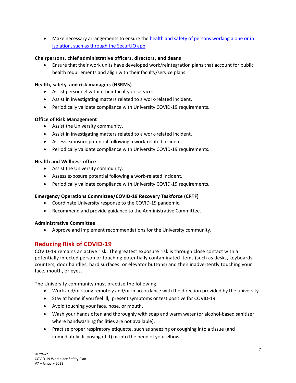• Make necessary arrangements to ensure the [health and safety of persons working alone](https://orm.uottawa.ca/my-safety/occupational-health-safety/work-alone) or in [isolation, such as through the SecurUO app.](https://orm.uottawa.ca/my-safety/occupational-health-safety/work-alone)

#### **Chairpersons, chief administrative officers, directors, and deans**

• Ensure that their work units have developed work/reintegration plans that account for public health requirements and align with their faculty/service plans.

#### **Health, safety, and risk managers (HSRMs)**

- Assist personnel within their faculty or service.
- Assist in investigating matters related to a work-related incident.
- Periodically validate compliance with University COVID-19 requirements.

#### **Office of Risk Management**

- Assist the University community.
- Assist in investigating matters related to a work-related incident.
- Assess exposure potential following a work-related incident.
- Periodically validate compliance with University COVID-19 requirements.

#### **Health and Wellness office**

- Assist the University community.
- Assess exposure potential following a work-related incident.
- Periodically validate compliance with University COVID-19 requirements.

## **Emergency Operations Committee/COVID-19 Recovery Taskforce (CRTF)**

- Coordinate University response to the COVID-19 pandemic.
- Recommend and provide guidance to the Administrative Committee.

#### **Administrative Committee**

• Approve and implement recommendations for the University community.

# <span id="page-6-0"></span>**Reducing Risk of COVID-19**

COVID-19 remains an active risk. The greatest exposure risk is through close contact with a potentially infected person or touching potentially contaminated items (such as desks, keyboards, counters, door handles, hard surfaces, or elevator buttons) and then inadvertently touching your face, mouth, or eyes.

The University community must practise the following:

- Work and/or study remotely and/or in accordance with the direction provided by the university.
- Stay at home if you feel ill, present symptoms or test positive for COVID-19.
- Avoid touching your face, nose, or mouth.
- Wash your hands often and thoroughly with soap and warm water (or alcohol-based sanitizer where handwashing facilities are not available).
- Practise proper respiratory etiquette, such as sneezing or coughing into a tissue (and immediately disposing of it) or into the bend of your elbow.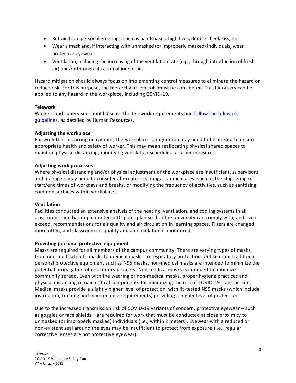- Refrain from personal greetings, such as handshakes, high fives, double cheek kiss, etc.
- Wear a mask and, if interacting with unmasked (or improperly masked) individuals, wear protective eyewear.
- Ventilation, including the increasing of the ventilation rate (e.g., through introduction of fresh air) and/or through filtration of indoor air.

Hazard mitigation should always focus on implementing control measures to eliminate the hazard or reduce risk. For this purpose, the hierarchy of controls must be considered. This hierarchy can be applied to any hazard in the workplace, including COVID-19.

#### **Telework**

Workers and supervisor should discuss the telework requirements and follow the telework [guidelines,](https://www.uottawa.ca/human-resources/sites/www.uottawa.ca.human-resources/files/telework_guidelines.pdf) as detailed by Human Resources.

#### **Adjusting the workplace**

For work that occurring on campus, the workplace configuration may need to be altered to ensure appropriate health and safety of worker. This may mean reallocating physical shared spaces to maintain physical distancing, modifying ventilation schedules or other measures.

#### **Adjusting work processes**

Where physical distancing and/or physical adjustment of the workplace are insufficient, supervisors and managers may need to consider alternate risk mitigation measures, such as the staggering of start/end times of workdays and breaks, or modifying the frequency of activities, such as sanitizing common surfaces within workplaces.

#### **Ventilation**

Facilities conducted an extensive analysis of the heating, ventilation, and cooling systems in all classrooms, and has implemented a 10-point plan so that the university can comply with, and even exceed, recommendations for air quality and air circulation in learning spaces. Filters are changed more often, and classroom air quality and air circulation is monitored.

#### **Providing personal protective equipment**

Masks are required for all members of the campus community. There are varying types of masks, from non-medical cloth masks to medical masks, to respiratory protection. Unlike more traditional personal protective equipment such as N95 masks, non-medical masks are intended to minimize the potential propagation of respiratory droplets. Non-medical masks is intended to minimize community spread. Even with the wearing of non-medical masks, proper hygiene practices and physical distancing remain critical components for minimizing the risk of COVID-19 transmission. Medical masks provide a slightly higher level of protection, with fit-tested N95 masks (which include instruction, training and maintenance requirements) providing a higher level of protection.

Due to the increased transmission risk of COVID-19 variants of concern, protective eyewear – such as goggles or face shields – are required for work that must be conducted at close proximity to unmasked (or improperly masked) individuals (i.e., within 2 meters). Eyewear with a reduced or non-existent seal around the eyes may be insufficient to protect from exposure (i.e., regular corrective lenses are not protective eyewear).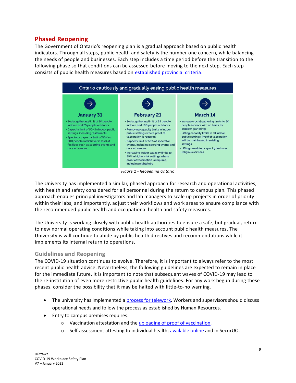## <span id="page-8-0"></span>**Phased Reopening**

The Government of Ontario's reopening plan is a gradual approach based on public health indicators. Through all steps, public health and safety is the number one concern, while balancing the needs of people and businesses. Each step includes a time period before the transition to the following phase so that conditions can be assessed before moving to the next step. Each step consists of public health measures based on [established provincial criteria.](https://www.ontario.ca/page/reopening-ontario)



*Figure 1 - Reopening Ontario*

The University has implemented a similar, phased approach for research and operational activities, with health and safety considered for all personnel during the return to campus plan. This phased approach enables principal investigators and lab managers to scale up projects in order of priority within their labs, and importantly, adjust their workflows and work areas to ensure compliance with the recommended public health and occupational health and safety measures.

The University is working closely with public health authorities to ensure a safe, but gradual, return to new normal operating conditions while taking into account public health measures. The University is will continue to abide by public health directives and recommendations while it implements its internal return to operations.

#### <span id="page-8-1"></span>**Guidelines and Reopening**

The COVID-19 situation continues to evolve. Therefore, it is important to always refer to the most recent public health advice. Nevertheless, the following guidelines are expected to remain in place for the immediate future. It is important to note that subsequent waves of COVID-19 may lead to the re-institution of even more restrictive public health guidelines. For any work begun during these phases, consider the possibility that it may be halted with little-to-no warning.

- The university has implemented [a process for telework.](https://www.uottawa.ca/human-resources/sites/www.uottawa.ca.human-resources/files/telework_guidelines.pdf) Workers and supervisors should discuss operational needs and follow the process as established by Human Resources.
- Entry to campus premises requires:
	- o Vaccination attestation and the [uploading of proof of vaccination.](https://cst.uottawa.ca/en/csa)
	- $\circ$  Self-assessment attesting to individual health; available online and [in SecurUO.](https://cst.uottawa.ca/en/csa)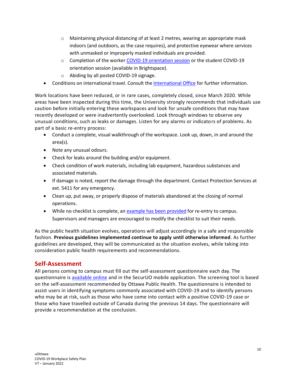- $\circ$  Maintaining physical distancing of at least 2 metres, wearing an appropriate mask indoors (and outdoors, as the case requires), and protective eyewear where services with unmasked or improperly masked individuals are provided.
- o Completion of the worker [COVID-19 orientation session](https://web47.uottawa.ca/en/lrs/node/36073) or the student COVID-19 orientation session (available in Brightspace).
- o Abiding by all posted COVID-19 signage.
- Conditions on international travel. Consult th[e International Office](https://international.uottawa.ca/en) for further information.

Work locations have been reduced, or in rare cases, completely closed, since March 2020. While areas have been inspected during this time, the University strongly recommends that individuals use caution before initially entering these workspaces and look for unsafe conditions that may have recently developed or were inadvertently overlooked. Look through windows to observe any unusual conditions, such as leaks or damages. Listen for any alarms or indicators of problems. As part of a basic re-entry process:

- Conduct a complete, visual walkthrough of the workspace. Look up, down, in and around the area(s).
- Note any unusual odours.
- Check for leaks around the building and/or equipment.
- Check condition of work materials, including lab equipment, hazardous substances and associated materials.
- If damage is noted, report the damage through the department. Contact Protection Services at ext. 5411 for any emergency.
- Clean up, put away, or properly dispose of materials abandoned at the closing of normal operations.
- While no checklist is complete, an [example has been provided](https://orm.uottawa.ca/sites/orm.uottawa.ca/files/covid-19-general-checklist.docx) for re-entry to campus. Supervisors and managers are encouraged to modify the checklist to suit their needs.

As the public health situation evolves, operations will adjust accordingly in a safe and responsible fashion. **Previous guidelines implemented continue to apply until otherwise informed**. As further guidelines are developed, they will be communicated as the situation evolves, while taking into consideration public health requirements and recommendations.

# <span id="page-9-0"></span>**Self-Assessment**

All persons coming to campus must fill out the self-assessment questionnaire each day. The questionnaire is [available online](https://cst.uottawa.ca/en/csa) and in the SecurUO mobile application. The screening tool is based on the self-assessment recommended by Ottawa Public Health. The questionnaire is intended to assist users in identifying symptoms commonly associated with COVID-19 and to identify persons who may be at risk, such as those who have come into contact with a positive COVID-19 case or those who have travelled outside of Canada during the previous 14 days. The questionnaire will provide a recommendation at the conclusion.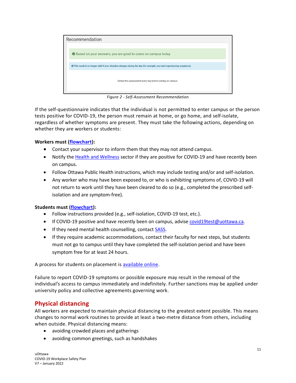| Recommendation                                                                                                                   |
|----------------------------------------------------------------------------------------------------------------------------------|
| ◯ Based on your answers, you are good to come on campus today                                                                    |
| <b>O</b> This result is no longer valid if your situation changes during the day (for example, you start experiencing symptoms). |
| Retake this assessment every day before coming on campus                                                                         |

*Figure 2 - Self-Assessment Recommendation*

If the self-questionnaire indicates that the individual is not permitted to enter campus or the person tests positive for COVID-19, the person must remain at home, or go home, and self-isolate, regardless of whether symptoms are present. They must take the following actions, depending on whether they are workers or students:

## **Workers must [\(flowchart\)](https://orm.uottawa.ca/sites/orm.uottawa.ca/files/flowchart-worker-student.pdf):**

- Contact your supervisor to inform them that they may not attend campus.
- Notify the [Health and Wellness](mailto:hrhealth@uottawa.ca) sector if they are positive for COVID-19 and have recently been on campus.
- Follow Ottawa Public Health instructions, which may include testing and/or and self-isolation.
- Any worker who may have been exposed to, or who is exhibiting symptoms of, COVID-19 will not return to work until they have been cleared to do so (e.g., completed the prescribed selfisolation and are symptom-free).

## **Students must [\(flowchart\)](https://orm.uottawa.ca/sites/orm.uottawa.ca/files/flowchart-worker-student.pdf):**

- Follow instructions provided (e.g., self-isolation, COVID-19 test, etc.).
- If COVID-19 positive and have recently been on campus, advise [covid19test@uottawa.ca.](mailto:covid19test@uottawa.ca)
- If they need mental health counselling, contac[t SASS.](mailto:couns@uottawa.ca)
- If they require academic accommodations, contact their faculty for next steps, but students must not go to campus until they have completed the self-isolation period and have been symptom free for at least 24 hours.

A process for students on placement is [available online.](https://orm.uottawa.ca/sites/orm.uottawa.ca/files/flowchart-placement.pdf)

Failure to report COVID-19 symptoms or possible exposure may result in the removal of the individual's access to campus immediately and indefinitely. Further sanctions may be applied under university policy and collective agreements governing work.

# <span id="page-10-0"></span>**Physical distancing**

All workers are expected to maintain physical distancing to the greatest extent possible. This means changes to normal work routines to provide at least a two-metre distance from others, including when outside. Physical distancing means:

- avoiding crowded places and gatherings
- avoiding common greetings, such as handshakes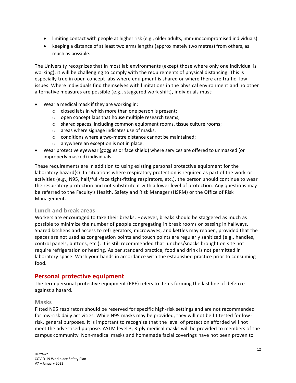- limiting contact with people at higher risk (e.g., older adults, immunocompromised individuals)
- keeping a distance of at least two arms lengths (approximately two metres) from others, as much as possible.

The University recognizes that in most lab environments (except those where only one individual is working), it will be challenging to comply with the requirements of physical distancing. This is especially true in open concept labs where equipment is shared or where there are traffic flow issues. Where individuals find themselves with limitations in the physical environment and no other alternative measures are possible (e.g., staggered work shift), individuals must:

- Wear a medical mask if they are working in:
	- o closed labs in which more than one person is present;
	- o open concept labs that house multiple research teams;
	- o shared spaces, including common equipment rooms, tissue culture rooms;
	- o areas where signage indicates use of masks;
	- o conditions where a two-metre distance cannot be maintained;
	- o anywhere an exception is not in place.
- Wear protective eyewear (goggles or face shield) where services are offered to unmasked (or improperly masked) individuals.

These requirements are in addition to using existing personal protective equipment for the laboratory hazard(s). In situations where respiratory protection is required as part of the work or activities (e.g., N95, half/full-face tight-fitting respirators, etc.), the person should continue to wear the respiratory protection and not substitute it with a lower level of protection. Any questions may be referred to the Faculty's Health, Safety and Risk Manager (HSRM) or the Office of Risk Management.

## <span id="page-11-0"></span>**Lunch and break areas**

Workers are encouraged to take their breaks. However, breaks should be staggered as much as possible to minimize the number of people congregating in break rooms or passing in hallways. Shared kitchens and access to refrigerators, microwaves, and kettles may reopen, provided that the spaces are not used as congregation points and touch points are regularly sanitized (e.g., handles, control panels, buttons, etc.). It is still recommended that lunches/snacks brought on site not require refrigeration or heating. As per standard practice, food and drink is not permitted in laboratory space. Wash your hands in accordance with the established practice prior to consuming food.

## <span id="page-11-1"></span>**Personal protective equipment**

The term personal protective equipment (PPE) refers to items forming the last line of defence against a hazard.

#### <span id="page-11-2"></span>**Masks**

Fitted N95 respirators should be reserved for specific high-risk settings and are not recommended for low-risk daily activities. While N95 masks may be provided, they will not be fit tested for lowrisk, general purposes. It is important to recognize that the level of protection afforded will not meet the advertised purpose. ASTM level 3, 3-ply medical masks will be provided to members of the campus community. Non-medical masks and homemade facial coverings have not been proven to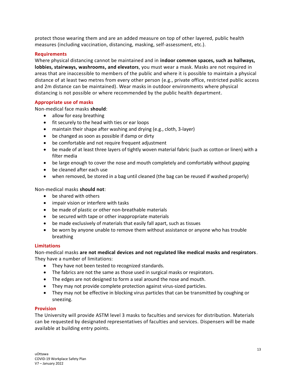protect those wearing them and are an added measure on top of other layered, public health measures (including vaccination, distancing, masking, self-assessment, etc.).

#### <span id="page-12-0"></span>**Requirements**

Where physical distancing cannot be maintained and in **indoor common spaces, such as hallways, lobbies, stairways, washrooms, and elevators**, you must wear a mask. Masks are not required in areas that are inaccessible to members of the public and where it is possible to maintain a physical distance of at least two metres from every other person (e.g., private office, restricted public access and 2m distance can be maintained). Wear masks in outdoor environments where physical distancing is not possible or where recommended by the public health department.

#### <span id="page-12-1"></span>**Appropriate use of masks**

Non-medical face masks **should**:

- allow for easy breathing
- fit securely to the head with ties or ear loops
- maintain their shape after washing and drying (e.g., cloth, 3-layer)
- be changed as soon as possible if damp or dirty
- be comfortable and not require frequent adjustment
- be made of at least three layers of tightly woven material fabric (such as cotton or linen) with a filter media
- be large enough to cover the nose and mouth completely and comfortably without gapping
- be cleaned after each use
- when removed, be stored in a bag until cleaned (the bag can be reused if washed properly)

Non-medical masks **should not**:

- be shared with others
- impair vision or interfere with tasks
- be made of plastic or other non-breathable materials
- be secured with tape or other inappropriate materials
- be made exclusively of materials that easily fall apart, such as tissues
- be worn by anyone unable to remove them without assistance or anyone who has trouble breathing

#### <span id="page-12-2"></span>**Limitations**

Non-medical masks **are not medical devices and not regulated like medical masks and respirators**. They have a number of limitations:

- They have not been tested to recognized standards.
- The fabrics are not the same as those used in surgical masks or respirators.
- The edges are not designed to form a seal around the nose and mouth.
- They may not provide complete protection against virus-sized particles.
- They may not be effective in blocking virus particles that can be transmitted by coughing or sneezing.

#### <span id="page-12-3"></span>**Provision**

The University will provide ASTM level 3 masks to faculties and services for distribution. Materials can be requested by designated representatives of faculties and services. Dispensers will be made available at building entry points.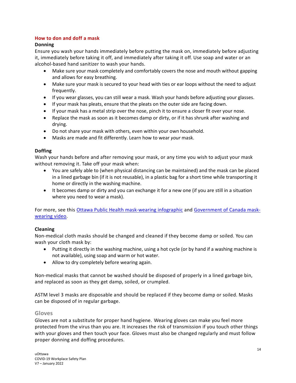#### <span id="page-13-0"></span>**How to don and doff a mask**

#### **Donning**

Ensure you wash your hands immediately before putting the mask on, immediately before adjusting it, immediately before taking it off, and immediately after taking it off. Use soap and water or an alcohol-based hand sanitizer to wash your hands.

- Make sure your mask completely and comfortably covers the nose and mouth without gapping and allows for easy breathing.
- Make sure your mask is secured to your head with ties or ear loops without the need to adjust frequently.
- If you wear glasses, you can still wear a mask. Wash your hands before adjusting your glasses.
- If your mask has pleats, ensure that the pleats on the outer side are facing down.
- If your mask has a metal strip over the nose, pinch it to ensure a closer fit over your nose.
- Replace the mask as soon as it becomes damp or dirty, or if it has shrunk after washing and drying.
- Do not share your mask with others, even within your own household.
- Masks are made and fit differently. Learn how to wear *your* mask.

#### **Doffing**

Wash your hands before and after removing your mask, or any time you wish to adjust your mask without removing it. Take off your mask when:

- You are safely able to (when physical distancing can be maintained) and the mask can be placed in a lined garbage bin (if it is not reusable), in a plastic bag for a short time while transporting it home or directly in the washing machine.
- It becomes damp or dirty and you can exchange it for a new one (if you are still in a situation where you need to wear a mask).

For more, see this [Ottawa Public Health mask-wearing infographic](https://www.ottawapublichealth.ca/en/public-health-topics/resources/Documents/COVID-19_Safely_Putting_on_Taking_off_Nonmedical_Mask_OPH_EN.pdf) and [Government of Canada mask](https://www.youtube.com/watch?v=RFV0h4h3HzY)[wearing video.](https://www.youtube.com/watch?v=RFV0h4h3HzY)

#### **Cleaning**

Non-medical cloth masks should be changed and cleaned if they become damp or soiled. You can wash your cloth mask by:

- Putting it directly in the washing machine, using a hot cycle (or by hand if a washing machine is not available), using soap and warm or hot water.
- Allow to dry completely before wearing again.

Non-medical masks that cannot be washed should be disposed of properly in a lined garbage bin, and replaced as soon as they get damp, soiled, or crumpled.

ASTM level 3 masks are disposable and should be replaced if they become damp or soiled. Masks can be disposed of in regular garbage.

#### <span id="page-13-1"></span>**Gloves**

Gloves are not a substitute for proper hand hygiene. Wearing gloves can make you feel more protected from the virus than you are. It increases the risk of transmission if you touch other things with your gloves and then touch your face. Gloves must also be changed regularly and must follow proper donning and doffing procedures.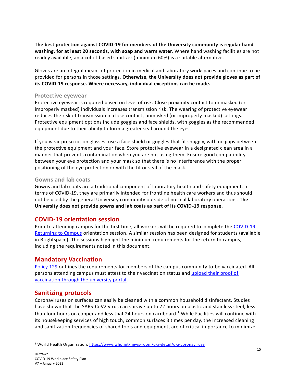**The best protection against COVID-19 for members of the University community is regular hand washing, for at least 20 seconds, with soap and warm water.** Where hand washing facilities are not readily available, an alcohol-based sanitizer (minimum 60%) is a suitable alternative.

Gloves are an integral means of protection in medical and laboratory workspaces and continue to be provided for persons in those settings. **Otherwise, the University does not provide gloves as part of its COVID-19 response. Where necessary, individual exceptions can be made.**

#### <span id="page-14-0"></span>**Protective eyewear**

Protective eyewear is required based on level of risk. Close proximity contact to unmasked (or improperly masked) individuals increases transmission risk. The wearing of protective eyewear reduces the risk of transmission in close contact, unmasked (or improperly masked) settings. Protective equipment options include goggles and face shields, with goggles as the recommended equipment due to their ability to form a greater seal around the eyes.

If you wear prescription glasses, use a face shield or goggles that fit snuggly, with no gaps between the protective equipment and your face. Store protective eyewear in a designated clean area in a manner that prevents contamination when you are not using them. Ensure good compatibility between your eye protection and your mask so that there is no interference with the proper positioning of the eye protection or with the fit or seal of the mask.

## <span id="page-14-1"></span>**Gowns and lab coats**

Gowns and lab coats are a traditional component of laboratory health and safety equipment. In terms of COVID-19, they are primarily intended for frontline health care workers and thus should not be used by the general University community outside of normal laboratory operations. **The University does not provide gowns and lab coats as part of its COVID-19 response.**

# <span id="page-14-2"></span>**COVID-19 orientation session**

Prior to attending campus for the first time, all workers will be required to complete the [COVID-19](https://web47.uottawa.ca/en/lrs/node/36073) [Returning to Campus](https://web47.uottawa.ca/en/lrs/node/36073) orientation session. A similar session has been designed for students (available in Brightspace). The sessions highlight the minimum requirements for the return to campus, including the requirements noted in this document.

# <span id="page-14-3"></span>**Mandatory Vaccination**

[Policy 129](https://www2.uottawa.ca/about-us/policies-regulations/policy-129-covid-19-vaccination) outlines the requirements for members of the campus community to be vaccinated. All persons attending campus must attest to their vaccination status and [upload their proof of](https://cst.uottawa.ca/en/csa)  vaccination [through the university portal.](https://cst.uottawa.ca/en/csa)

# <span id="page-14-4"></span>**Sanitizing protocols**

Coronaviruses on surfaces can easily be cleaned with a common household disinfectant. Studies have shown that the SARS-CoV2 virus can survive up to 72 hours on plastic and stainless steel, less than four hours on copper and less that 24 hours on cardboard.<sup>1</sup> While Facilities will continue with its housekeeping services of high touch, common surfaces 3 times per day, the increased cleaning and sanitization frequencies of shared tools and equipment, are of critical importance to minimize

<sup>1</sup> World Health Organization. <https://www.who.int/news-room/q-a-detail/q-a-coronaviruse>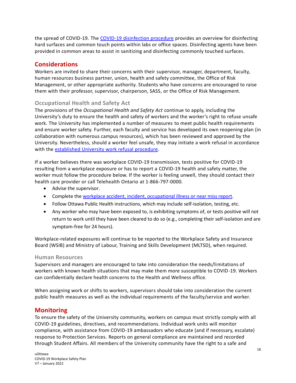the spread of COVID-19. The [COVID-19 disinfection procedure](https://orm.uottawa.ca/sites/orm.uottawa.ca/files/covid-disinfection-procedure.pdf) provides an overview for disinfecting hard surfaces and common touch points within labs or office spaces. Disinfecting agents have been provided in common areas to assist in sanitizing and disinfecting commonly touched surfaces.

## <span id="page-15-0"></span>**Considerations**

Workers are invited to share their concerns with their supervisor, manager, department, faculty, human resources business partner, union, health and safety committee, the Office of Risk Management, or other appropriate authority. Students who have concerns are encouraged to raise them with their professor, supervisor, chairperson, SASS, or the Office of Risk Management.

## <span id="page-15-1"></span>**Occupational Health and Safety Act**

The provisions of the *Occupational Health and Safety Act* continue to apply, including the University's duty to ensure the health and safety of workers and the worker's right to refuse unsafe work. The University has implemented a number of measures to meet public health requirements and ensure worker safety. Further, each faculty and service has developed its own reopening plan (in collaboration with numerous campus resources), which has been reviewed and approved by the University. Nevertheless, should a worker feel unsafe, they may initiate a work refusal in accordance with the [established University work refusal procedure.](https://orm.uottawa.ca/my-safety/occupational-health-safety/committees/work-refusal)

If a worker believes there was workplace COVID-19 transmission, tests positive for COVID-19 resulting from a workplace exposure or has to report a COVID-19 health and safety matter, the worker must follow the procedure below. If the worker is feeling unwell, they should contact their health care provider or call Telehealth Ontario at 1-866-797-0000.

- Advise the supervisor.
- Complete the [workplace accident, incident, occupational illness or near miss report.](https://orm.uottawa.ca/incident)
- Follow Ottawa Public Health instructions, which may include self-isolation, testing, etc.
- Any worker who may have been exposed to, is exhibiting symptoms of, or tests positive will not return to work until they have been cleared to do so (e.g., completing their self-isolation and are symptom-free for 24 hours).

Workplace-related exposures will continue to be reported to the Workplace Safety and Insurance Board (WSIB) and Ministry of Labour, Training and Skills Development (MLTSD), when required.

## <span id="page-15-2"></span>**Human Resources**

Supervisors and managers are encouraged to take into consideration the needs/limitations of workers with known health situations that may make them more susceptible to COVID-19. Workers can confidentially declare health concerns to the Health and Wellness office.

When assigning work or shifts to workers, supervisors should take into consideration the current public health measures as well as the individual requirements of the faculty/service and worker.

## <span id="page-15-3"></span>**Monitoring**

To ensure the safety of the University community, workers on campus must strictly comply with all COVID-19 guidelines, directives, and recommendations. Individual work units will monitor compliance, with assistance from COVID-19 ambassadors who educate (and if necessary, escalate) response to Protection Services. Reports on general compliance are maintained and recorded through Student Affairs. All members of the University community have the right to a safe and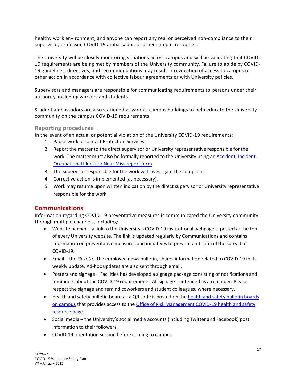healthy work environment, and anyone can report any real or perceived non-compliance to their supervisor, professor, COVID-19 ambassador, or other campus resources.

The University will be closely monitoring situations across campus and will be validating that COVID-19 requirements are being met by members of the University community. Failure to abide by COVID-19 guidelines, directives, and recommendations may result in revocation of access to campus or other action in accordance with collective labour agreements or with University policies.

Supervisors and managers are responsible for communicating requirements to persons under their authority, including workers and students.

Student ambassadors are also stationed at various campus buildings to help educate the University community on the campus COVID-19 requirements.

#### <span id="page-16-0"></span>**Reporting procedures**

In the event of an actual or potential violation of the University COVID-19 requirements:

- 1. Pause work or contact Protection Services.
- 2. Report the matter to the direct supervisor or University representative responsible for the work. The matter must also be formally reported to the University using an [Accident, Incident,](https://orm.uottawa.ca/incident)  [Occupational Illness or Near Miss report form.](https://orm.uottawa.ca/incident)
- 3. The supervisor responsible for the work will investigate the complaint.
- 4. Corrective action is implemented (as necessary).
- 5. Work may resume upon written indication by the direct supervisor or University representative responsible for the work

## <span id="page-16-1"></span>**Communications**

Information regarding COVID-19 preventative measures is communicated the University community through multiple channels, including:

- Website banner a link to the University's COVID-19 institutional webpage is posted at the top of every University website. The link is updated regularly by Communications and contains information on preventative measures and initiatives to prevent and control the spread of COVID-19.
- Email the *Gazette*, the employee news bulletin, shares information related to COVID-19 in its weekly update. Ad-hoc updates are also sent through email.
- Posters and signage Facilities has developed a signage package consisting of notifications and reminders about the COVID-19 requirements. All signage is intended as a reminder. Please respect the signage and remind coworkers and student colleagues, where necessary.
- Health and safety bulletin boards a QR code is posted on th[e health and safety bulletin boards](https://www.google.com/maps/d/edit?mid=1beQKMdFPn1SCrs29NmyR7YBOx7w&ll=45.422916644729355%2C-75.68114640946946&z=17)  [on campus](https://www.google.com/maps/d/edit?mid=1beQKMdFPn1SCrs29NmyR7YBOx7w&ll=45.422916644729355%2C-75.68114640946946&z=17) that provides access to th[e Office of Risk Management COVID-19 health and safety](https://orm.uottawa.ca/my-safety/occupational-health-safety/covid-19)  [resource page.](https://orm.uottawa.ca/my-safety/occupational-health-safety/covid-19)
- Social media the University's social media accounts (including Twitter and Facebook) post information to their followers.
- COVID-19 orientation session before coming to campus.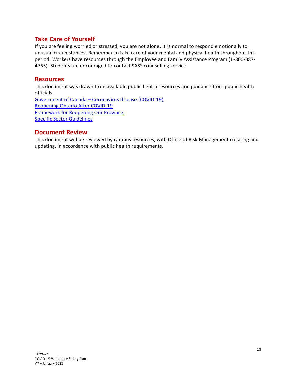# <span id="page-17-0"></span>**Take Care of Yourself**

If you are feeling worried or stressed, you are not alone. It is normal to respond emotionally to unusual circumstances. Remember to take care of your mental and physical health throughout this period. Workers have resources through the Employee and Family Assistance Program (1-800-387- 4765). Students are encouraged to contact SASS counselling service.

## <span id="page-17-1"></span>**Resources**

This document was drawn from available public health resources and guidance from public health officials.

Government of Canada – [Coronavirus disease \(COVID-19\)](https://www.canada.ca/en/public-health/services/diseases/coronavirus-disease-covid-19.html) [Reopening Ontario After COVID-19](https://www.ontario.ca/page/reopening-ontario-after-covid-19) [Framework for Reopening Our Province](https://www.ontario.ca/page/framework-reopening-our-province) [Specific Sector Guidelines](https://www.ontario.ca/page/resources-prevent-covid-19-workplace)

## <span id="page-17-2"></span>**Document Review**

This document will be reviewed by campus resources, with Office of Risk Management collating and updating, in accordance with public health requirements.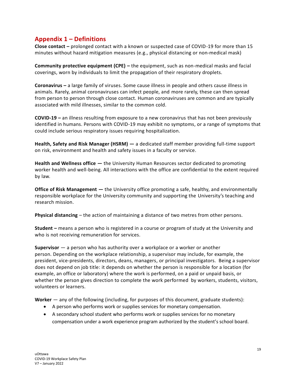# <span id="page-18-0"></span>**Appendix 1 – Definitions**

**Close contact –** prolonged contact with a known or suspected case of COVID-19 for more than 15 minutes without hazard mitigation measures (e.g., physical distancing or non-medical mask)

**Community protective equipment (CPE) –** the equipment, such as non-medical masks and facial coverings, worn by individuals to limit the propagation of their respiratory droplets.

**Coronavirus –** a large family of viruses. Some cause illness in people and others cause illness in animals. Rarely, animal coronaviruses can infect people, and more rarely, these can then spread from person to person through close contact. Human coronaviruses are common and are typically associated with mild illnesses, similar to the common cold.

**COVID-19 –** an illness resulting from exposure to a new coronavirus that has not been previously identified in humans. Persons with COVID-19 may exhibit no symptoms, or a range of symptoms that could include serious respiratory issues requiring hospitalization.

**Health, Safety and Risk Manager (HSRM) —** a dedicated staff member providing full-time support on risk, environment and health and safety issues in a faculty or service.

**Health and Wellness office —** the University Human Resources sector dedicated to promoting worker health and well-being. All interactions with the office are confidential to the extent required by law.

**Office of Risk Management —** the University office promoting a safe, healthy, and environmentally responsible workplace for the University community and supporting the University's teaching and research mission.

**Physical distancing** – the action of maintaining a distance of two metres from other persons.

**Student –** means a person who is registered in a course or program of study at the University and who is not receiving remuneration for services.

**Supervisor** — a person who has authority over a workplace or a worker or another person. Depending on the workplace relationship, a supervisor may include, for example, the president, vice-presidents, directors, deans, managers, or principal investigators. Being a supervisor does not depend on job title: it depends on whether the person is responsible for a location (for example, an office or laboratory) where the work is performed, on a paid or unpaid basis, or whether the person gives direction to complete the work performed by workers, students, visitors, volunteers or learners.

**Worker** *—* any of the following (including, for purposes of this document, graduate students):

- A person who performs work or supplies services for monetary compensation.
- A secondary school student who performs work or supplies services for no monetary compensation under a work experience program authorized by the student's school board.